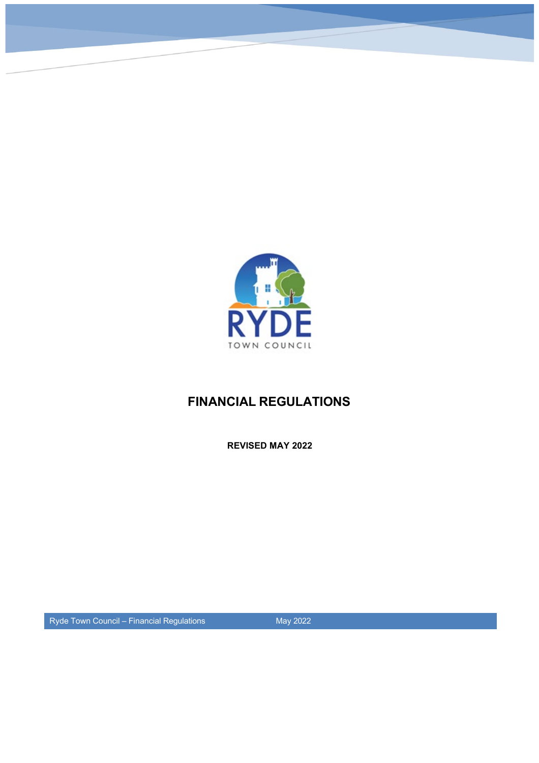

# **FINANCIAL REGULATIONS**

**REVISED MAY 2022**

Ryde Town Council – Financial Regulations May 2022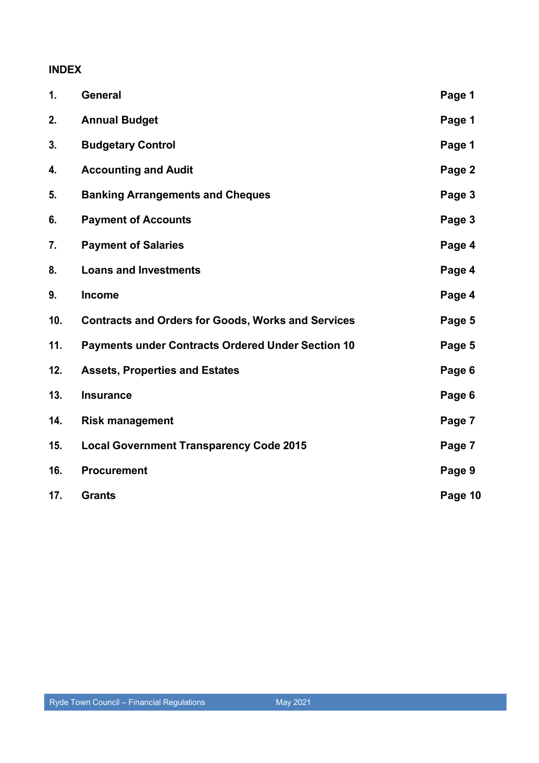## **INDEX**

| 1.  | General                                                   | Page 1  |
|-----|-----------------------------------------------------------|---------|
| 2.  | <b>Annual Budget</b>                                      | Page 1  |
| 3.  | <b>Budgetary Control</b>                                  | Page 1  |
| 4.  | <b>Accounting and Audit</b>                               | Page 2  |
| 5.  | <b>Banking Arrangements and Cheques</b>                   | Page 3  |
| 6.  | <b>Payment of Accounts</b>                                | Page 3  |
| 7.  | <b>Payment of Salaries</b>                                | Page 4  |
| 8.  | <b>Loans and Investments</b>                              | Page 4  |
| 9.  | <b>Income</b>                                             | Page 4  |
| 10. | <b>Contracts and Orders for Goods, Works and Services</b> | Page 5  |
| 11. | <b>Payments under Contracts Ordered Under Section 10</b>  | Page 5  |
| 12. | <b>Assets, Properties and Estates</b>                     | Page 6  |
| 13. | <b>Insurance</b>                                          | Page 6  |
| 14. | <b>Risk management</b>                                    | Page 7  |
| 15. | <b>Local Government Transparency Code 2015</b>            | Page 7  |
| 16. | <b>Procurement</b>                                        | Page 9  |
| 17. | <b>Grants</b>                                             | Page 10 |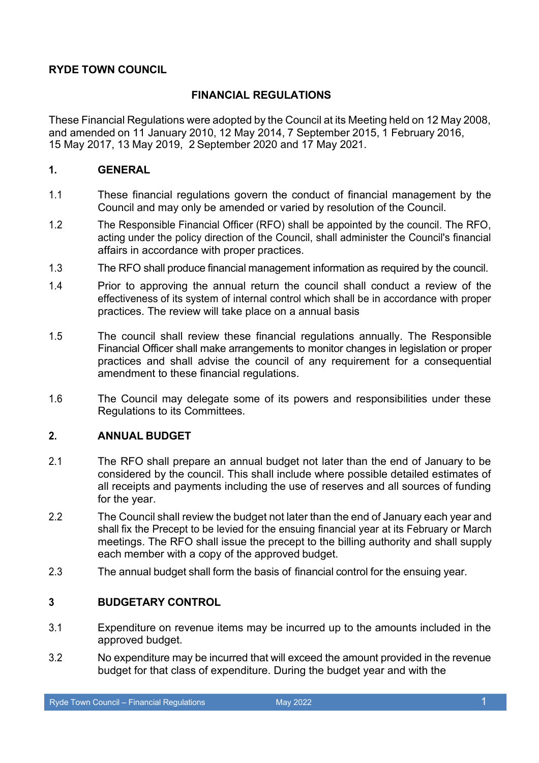### **RYDE TOWN COUNCIL**

#### **FINANCIAL REGULATIONS**

These Financial Regulations were adopted by the Council at its Meeting held on 12 May 2008, and amended on 11 January 2010, 12 May 2014, 7 September 2015, 1 February 2016, 15 May 2017, 13 May 2019, 2 September 2020 and 17 May 2021.

#### **1. GENERAL**

- 1.1 These financial regulations govern the conduct of financial management by the Council and may only be amended or varied by resolution of the Council.
- 1.2 The Responsible Financial Officer (RFO) shall be appointed by the council. The RFO, acting under the policy direction of the Council, shall administer the Council's financial affairs in accordance with proper practices.
- 1.3 The RFO shall produce financial management information as required by the council.
- 1.4 Prior to approving the annual return the council shall conduct a review of the effectiveness of its system of internal control which shall be in accordance with proper practices. The review will take place on a annual basis
- 1.5 The council shall review these financial regulations annually. The Responsible Financial Officer shall make arrangements to monitor changes in legislation or proper practices and shall advise the council of any requirement for a consequential amendment to these financial regulations.
- 1.6 The Council may delegate some of its powers and responsibilities under these Regulations to its Committees.

#### **2. ANNUAL BUDGET**

- 2.1 The RFO shall prepare an annual budget not later than the end of January to be considered by the council. This shall include where possible detailed estimates of all receipts and payments including the use of reserves and all sources of funding for the year.
- 2.2 The Council shall review the budget not later than the end of January each year and shall fix the Precept to be levied for the ensuing financial year at its February or March meetings. The RFO shall issue the precept to the billing authority and shall supply each member with a copy of the approved budget.
- 2.3 The annual budget shall form the basis of financial control for the ensuing year.

## **3 BUDGETARY CONTROL**

- 3.1 Expenditure on revenue items may be incurred up to the amounts included in the approved budget.
- 3.2 No expenditure may be incurred that will exceed the amount provided in the revenue budget for that class of expenditure. During the budget year and with the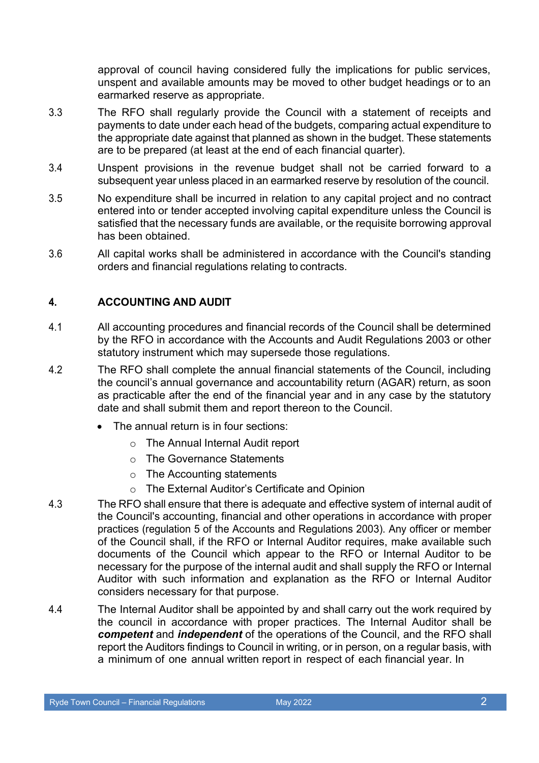approval of council having considered fully the implications for public services, unspent and available amounts may be moved to other budget headings or to an earmarked reserve as appropriate.

- 3.3 The RFO shall regularly provide the Council with a statement of receipts and payments to date under each head of the budgets, comparing actual expenditure to the appropriate date against that planned as shown in the budget. These statements are to be prepared (at least at the end of each financial quarter).
- 3.4 Unspent provisions in the revenue budget shall not be carried forward to a subsequent year unless placed in an earmarked reserve by resolution of the council.
- 3.5 No expenditure shall be incurred in relation to any capital project and no contract entered into or tender accepted involving capital expenditure unless the Council is satisfied that the necessary funds are available, or the requisite borrowing approval has been obtained.
- 3.6 All capital works shall be administered in accordance with the Council's standing orders and financial regulations relating to contracts.

## **4. ACCOUNTING AND AUDIT**

- 4.1 All accounting procedures and financial records of the Council shall be determined by the RFO in accordance with the Accounts and Audit Regulations 2003 or other statutory instrument which may supersede those regulations.
- 4.2 The RFO shall complete the annual financial statements of the Council, including the council's annual governance and accountability return (AGAR) return, as soon as practicable after the end of the financial year and in any case by the statutory date and shall submit them and report thereon to the Council.
	- The annual return is in four sections:
		- o The Annual Internal Audit report
		- o The Governance Statements
		- o The Accounting statements
		- o The External Auditor's Certificate and Opinion
- 4.3 The RFO shall ensure that there is adequate and effective system of internal audit of the Council's accounting, financial and other operations in accordance with proper practices (regulation 5 of the Accounts and Regulations 2003). Any officer or member of the Council shall, if the RFO or Internal Auditor requires, make available such documents of the Council which appear to the RFO or Internal Auditor to be necessary for the purpose of the internal audit and shall supply the RFO or Internal Auditor with such information and explanation as the RFO or Internal Auditor considers necessary for that purpose.
- 4.4 The Internal Auditor shall be appointed by and shall carry out the work required by the council in accordance with proper practices. The Internal Auditor shall be *competent* and *independent* of the operations of the Council, and the RFO shall report the Auditors findings to Council in writing, or in person, on a regular basis, with a minimum of one annual written report in respect of each financial year. In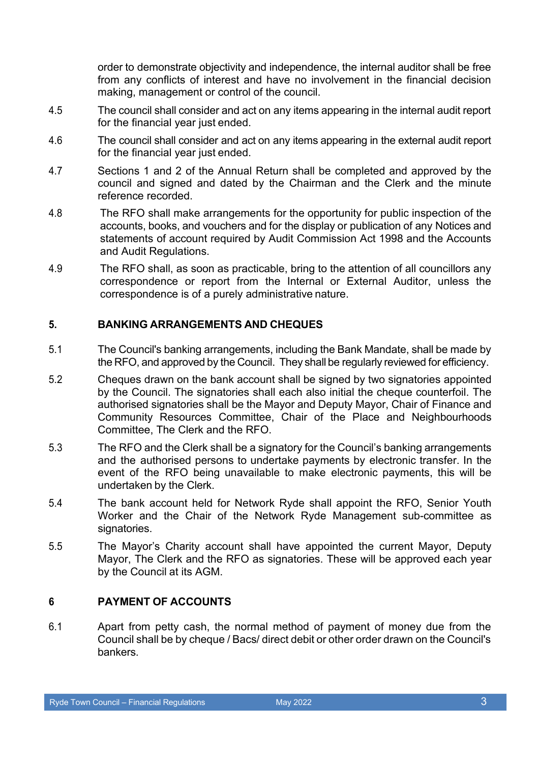order to demonstrate objectivity and independence, the internal auditor shall be free from any conflicts of interest and have no involvement in the financial decision making, management or control of the council.

- 4.5 The council shall consider and act on any items appearing in the internal audit report for the financial year just ended.
- 4.6 The council shall consider and act on any items appearing in the external audit report for the financial year just ended.
- 4.7 Sections 1 and 2 of the Annual Return shall be completed and approved by the council and signed and dated by the Chairman and the Clerk and the minute reference recorded.
- 4.8 The RFO shall make arrangements for the opportunity for public inspection of the accounts, books, and vouchers and for the display or publication of any Notices and statements of account required by Audit Commission Act 1998 and the Accounts and Audit Regulations.
- 4.9 The RFO shall, as soon as practicable, bring to the attention of all councillors any correspondence or report from the Internal or External Auditor, unless the correspondence is of a purely administrative nature.

### **5. BANKING ARRANGEMENTS AND CHEQUES**

- 5.1 The Council's banking arrangements, including the Bank Mandate, shall be made by the RFO, and approved by the Council. They shall be regularly reviewed for efficiency.
- 5.2 Cheques drawn on the bank account shall be signed by two signatories appointed by the Council. The signatories shall each also initial the cheque counterfoil. The authorised signatories shall be the Mayor and Deputy Mayor, Chair of Finance and Community Resources Committee, Chair of the Place and Neighbourhoods Committee, The Clerk and the RFO.
- 5.3 The RFO and the Clerk shall be a signatory for the Council's banking arrangements and the authorised persons to undertake payments by electronic transfer. In the event of the RFO being unavailable to make electronic payments, this will be undertaken by the Clerk.
- 5.4 The bank account held for Network Ryde shall appoint the RFO, Senior Youth Worker and the Chair of the Network Ryde Management sub-committee as signatories.
- 5.5 The Mayor's Charity account shall have appointed the current Mayor, Deputy Mayor, The Clerk and the RFO as signatories. These will be approved each year by the Council at its AGM.

## **6 PAYMENT OF ACCOUNTS**

6.1 Apart from petty cash, the normal method of payment of money due from the Council shall be by cheque / Bacs/ direct debit or other order drawn on the Council's bankers.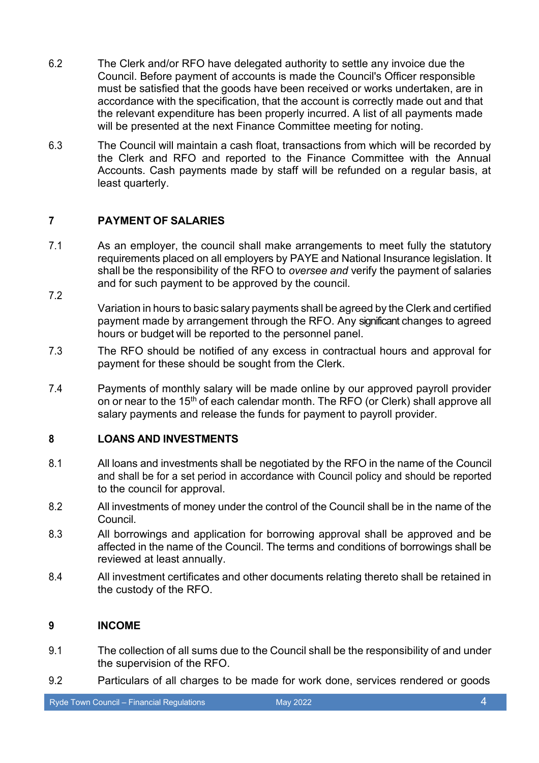- 6.2 The Clerk and/or RFO have delegated authority to settle any invoice due the Council. Before payment of accounts is made the Council's Officer responsible must be satisfied that the goods have been received or works undertaken, are in accordance with the specification, that the account is correctly made out and that the relevant expenditure has been properly incurred. A list of all payments made will be presented at the next Finance Committee meeting for noting.
- 6.3 The Council will maintain a cash float, transactions from which will be recorded by the Clerk and RFO and reported to the Finance Committee with the Annual Accounts. Cash payments made by staff will be refunded on a regular basis, at least quarterly.

## **7 PAYMENT OF SALARIES**

7.2

7.1 As an employer, the council shall make arrangements to meet fully the statutory requirements placed on all employers by PAYE and National Insurance legislation. It shall be the responsibility of the RFO to *oversee and* verify the payment of salaries and for such payment to be approved by the council.

Variation in hours to basic salary payments shall be agreed by the Clerk and certified payment made by arrangement through the RFO. Any significant changes to agreed hours or budget will be reported to the personnel panel.

- 7.3 The RFO should be notified of any excess in contractual hours and approval for payment for these should be sought from the Clerk.
- 7.4 Payments of monthly salary will be made online by our approved payroll provider on or near to the 15<sup>th</sup> of each calendar month. The RFO (or Clerk) shall approve all salary payments and release the funds for payment to payroll provider.

## **8 LOANS AND INVESTMENTS**

- 8.1 All loans and investments shall be negotiated by the RFO in the name of the Council and shall be for a set period in accordance with Council policy and should be reported to the council for approval.
- 8.2 All investments of money under the control of the Council shall be in the name of the Council.
- 8.3 All borrowings and application for borrowing approval shall be approved and be affected in the name of the Council. The terms and conditions of borrowings shall be reviewed at least annually.
- 8.4 All investment certificates and other documents relating thereto shall be retained in the custody of the RFO.

## **9 INCOME**

- 9.1 The collection of all sums due to the Council shall be the responsibility of and under the supervision of the RFO.
- 9.2 Particulars of all charges to be made for work done, services rendered or goods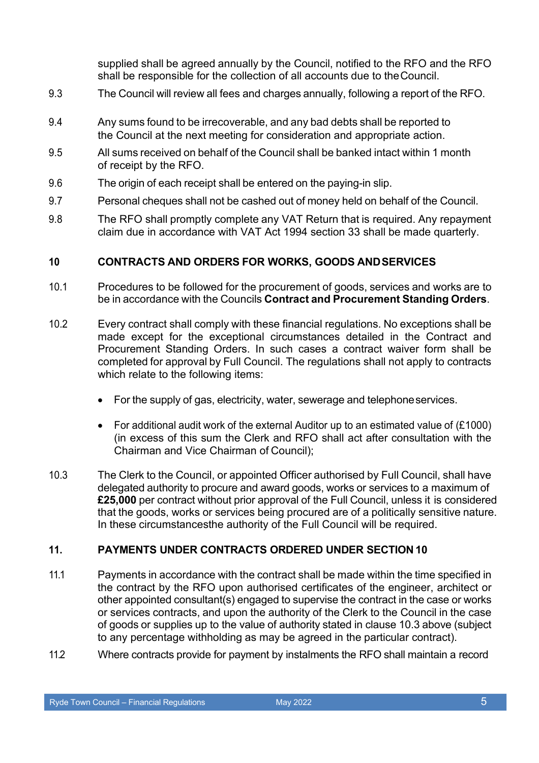supplied shall be agreed annually by the Council, notified to the RFO and the RFO shall be responsible for the collection of all accounts due to theCouncil.

- 9.3 The Council will review all fees and charges annually, following a report of the RFO.
- 9.4 Any sums found to be irrecoverable, and any bad debts shall be reported to the Council at the next meeting for consideration and appropriate action.
- 9.5 All sums received on behalf of the Council shall be banked intact within 1 month of receipt by the RFO.
- 9.6 The origin of each receipt shall be entered on the paying-in slip.
- 9.7 Personal cheques shall not be cashed out of money held on behalf of the Council.
- 9.8 The RFO shall promptly complete any VAT Return that is required. Any repayment claim due in accordance with VAT Act 1994 section 33 shall be made quarterly.

#### **10 CONTRACTS AND ORDERS FOR WORKS, GOODS ANDSERVICES**

- 10.1 Procedures to be followed for the procurement of goods, services and works are to be in accordance with the Councils **Contract and Procurement Standing Orders**.
- 10.2 Every contract shall comply with these financial regulations. No exceptions shall be made except for the exceptional circumstances detailed in the Contract and Procurement Standing Orders. In such cases a contract waiver form shall be completed for approval by Full Council. The regulations shall not apply to contracts which relate to the following items:
	- For the supply of gas, electricity, water, sewerage and telephoneservices.
	- For additional audit work of the external Auditor up to an estimated value of (£1000) (in excess of this sum the Clerk and RFO shall act after consultation with the Chairman and Vice Chairman of Council);
- 10.3 The Clerk to the Council, or appointed Officer authorised by Full Council, shall have delegated authority to procure and award goods, works or services to a maximum of **£25,000** per contract without prior approval of the Full Council, unless it is considered that the goods, works or services being procured are of a politically sensitive nature. In these circumstancesthe authority of the Full Council will be required.

#### **11. PAYMENTS UNDER CONTRACTS ORDERED UNDER SECTION 10**

- 11.1 Payments in accordance with the contract shall be made within the time specified in the contract by the RFO upon authorised certificates of the engineer, architect or other appointed consultant(s) engaged to supervise the contract in the case or works or services contracts, and upon the authority of the Clerk to the Council in the case of goods or supplies up to the value of authority stated in clause 10.3 above (subject to any percentage withholding as may be agreed in the particular contract).
- 11.2 Where contracts provide for payment by instalments the RFO shall maintain a record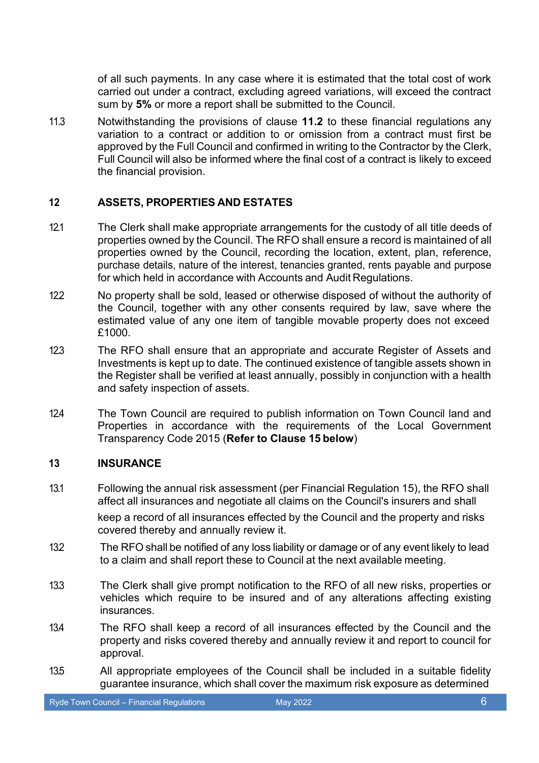of all such payments. In any case where it is estimated that the total cost of work carried out under a contract, excluding agreed variations, will exceed the contract sum by **5%** or more a report shall be submitted to the Council.

11.3 Notwithstanding the provisions of clause **11.2** to these financial regulations any variation to a contract or addition to or omission from a contract must first be approved by the Full Council and confirmed in writing to the Contractor by the Clerk, Full Council will also be informed where the final cost of a contract is likely to exceed the financial provision.

#### **12 ASSETS, PROPERTIES AND ESTATES**

- 12.1 The Clerk shall make appropriate arrangements for the custody of all title deeds of properties owned by the Council. The RFO shall ensure a record is maintained of all properties owned by the Council, recording the location, extent, plan, reference, purchase details, nature of the interest, tenancies granted, rents payable and purpose for which held in accordance with Accounts and Audit Regulations.
- 12.2 No property shall be sold, leased or otherwise disposed of without the authority of the Council, together with any other consents required by law, save where the estimated value of any one item of tangible movable property does not exceed £1000.
- 12.3 The RFO shall ensure that an appropriate and accurate Register of Assets and Investments is kept up to date. The continued existence of tangible assets shown in the Register shall be verified at least annually, possibly in conjunction with a health and safety inspection of assets.
- 12.4 The Town Council are required to publish information on Town Council land and Properties in accordance with the requirements of the Local Government Transparency Code 2015 (**Refer to Clause 15 below**)

#### **13 INSURANCE**

- 13.1 Following the annual risk assessment (per Financial Regulation 15), the RFO shall affect all insurances and negotiate all claims on the Council's insurers and shall keep a record of all insurances effected by the Council and the property and risks covered thereby and annually review it.
- 13.2 The RFO shall be notified of any loss liability or damage or of any event likely to lead to a claim and shall report these to Council at the next available meeting.
- 13.3 The Clerk shall give prompt notification to the RFO of all new risks, properties or vehicles which require to be insured and of any alterations affecting existing insurances.
- 13.4 The RFO shall keep a record of all insurances effected by the Council and the property and risks covered thereby and annually review it and report to council for approval.
- 13.5 All appropriate employees of the Council shall be included in a suitable fidelity guarantee insurance, which shall cover the maximum risk exposure as determined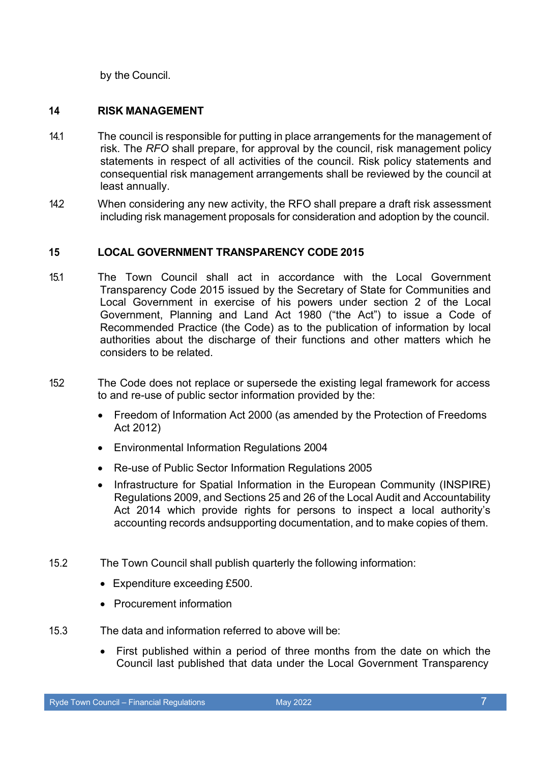by the Council.

## **14 RISK MANAGEMENT**

- 14.1 The council is responsible for putting in place arrangements for the management of risk. The *RFO* shall prepare, for approval by the council, risk management policy statements in respect of all activities of the council. Risk policy statements and consequential risk management arrangements shall be reviewed by the council at least annually.
- 14.2 When considering any new activity, the RFO shall prepare a draft risk assessment including risk management proposals for consideration and adoption by the council.

### **15 LOCAL GOVERNMENT TRANSPARENCY CODE 2015**

- 15.1 The Town Council shall act in accordance with the Local Government Transparency Code 2015 issued by the Secretary of State for Communities and Local Government in exercise of his powers under section 2 of the Local Government, Planning and Land Act 1980 ("the Act") to issue a Code of Recommended Practice (the Code) as to the publication of information by local authorities about the discharge of their functions and other matters which he considers to be related.
- 15.2 The Code does not replace or supersede the existing legal framework for access to and re-use of public sector information provided by the:
	- Freedom of Information Act 2000 (as amended by the Protection of Freedoms Act 2012)
	- Environmental Information Regulations 2004
	- Re-use of Public Sector Information Regulations 2005
	- Infrastructure for Spatial Information in the European Community (INSPIRE) Regulations 2009, and Sections 25 and 26 of the Local Audit and Accountability Act 2014 which provide rights for persons to inspect a local authority's accounting records andsupporting documentation, and to make copies of them.
- 15.2 The Town Council shall publish quarterly the following information:
	- Expenditure exceeding £500.
	- Procurement information
- 15.3 The data and information referred to above will be:
	- First published within a period of three months from the date on which the Council last published that data under the Local Government Transparency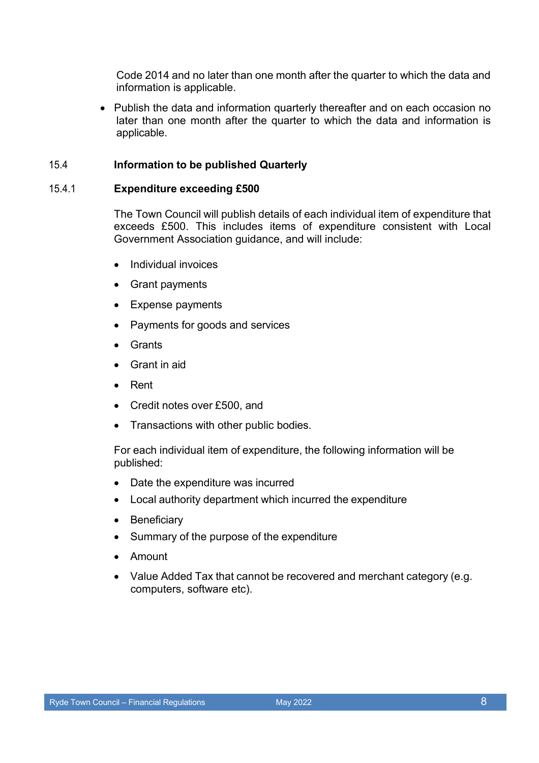Code 2014 and no later than one month after the quarter to which the data and information is applicable.

• Publish the data and information quarterly thereafter and on each occasion no later than one month after the quarter to which the data and information is applicable.

#### 15.4 **Information to be published Quarterly**

#### 15.4.1 **Expenditure exceeding £500**

The Town Council will publish details of each individual item of expenditure that exceeds £500. This includes items of expenditure consistent with Local Government Association guidance, and will include:

- Individual invoices
- Grant payments
- Expense payments
- Payments for goods and services
- Grants
- Grant in aid
- Rent
- Credit notes over £500, and
- Transactions with other public bodies.

For each individual item of expenditure, the following information will be published:

- Date the expenditure was incurred
- Local authority department which incurred the expenditure
- Beneficiary
- Summary of the purpose of the expenditure
- Amount
- Value Added Tax that cannot be recovered and merchant category (e.g. computers, software etc).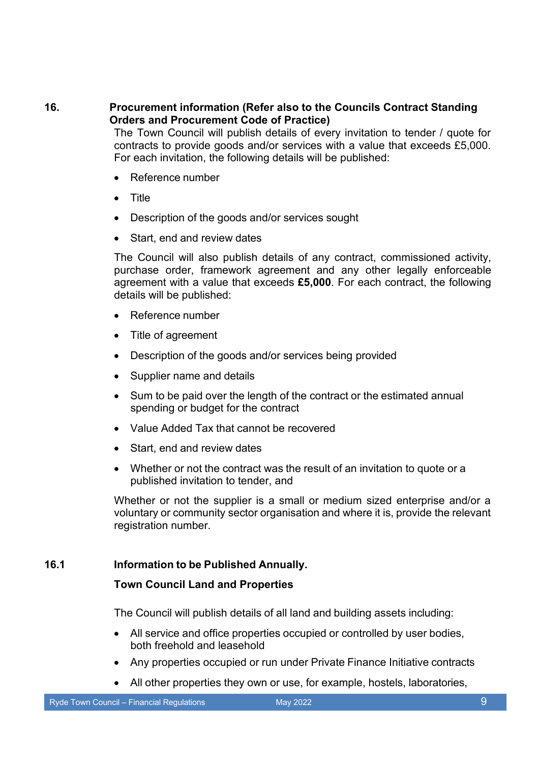**16. Procurement information (Refer also to the Councils Contract Standing Orders and Procurement Code of Practice)**

The Town Council will publish details of every invitation to tender / quote for contracts to provide goods and/or services with a value that exceeds £5,000. For each invitation, the following details will be published:

- Reference number
- Title
- Description of the goods and/or services sought
- Start, end and review dates

The Council will also publish details of any contract, commissioned activity, purchase order, framework agreement and any other legally enforceable agreement with a value that exceeds **£5,000**. For each contract, the following details will be published:

- Reference number
- Title of agreement
- Description of the goods and/or services being provided
- Supplier name and details
- Sum to be paid over the length of the contract or the estimated annual spending or budget for the contract
- Value Added Tax that cannot be recovered
- Start, end and review dates
- Whether or not the contract was the result of an invitation to quote or a published invitation to tender, and

Whether or not the supplier is a small or medium sized enterprise and/or a voluntary or community sector organisation and where it is, provide the relevant registration number.

#### **16.1 Information to be Published Annually.**

#### **Town Council Land and Properties**

The Council will publish details of all land and building assets including:

- All service and office properties occupied or controlled by user bodies, both freehold and leasehold
- Any properties occupied or run under Private Finance Initiative contracts
- All other properties they own or use, for example, hostels, laboratories,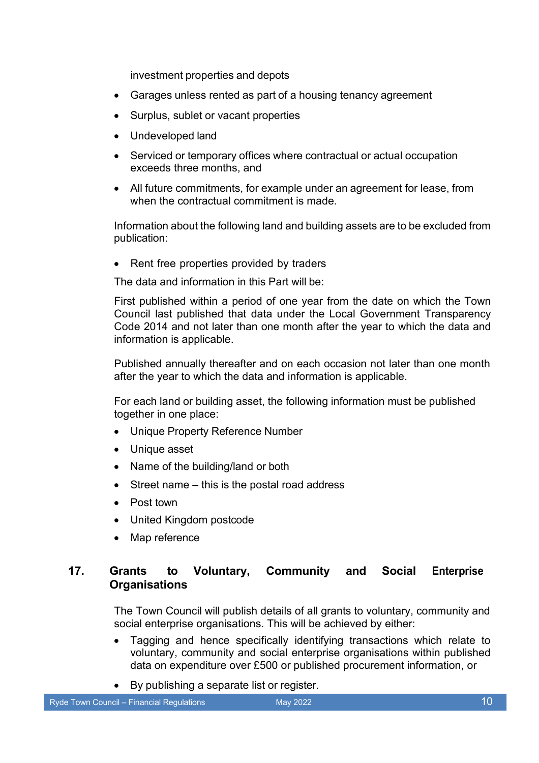investment properties and depots

- Garages unless rented as part of a housing tenancy agreement
- Surplus, sublet or vacant properties
- Undeveloped land
- Serviced or temporary offices where contractual or actual occupation exceeds three months, and
- All future commitments, for example under an agreement for lease, from when the contractual commitment is made.

Information about the following land and building assets are to be excluded from publication:

• Rent free properties provided by traders

The data and information in this Part will be:

First published within a period of one year from the date on which the Town Council last published that data under the Local Government Transparency Code 2014 and not later than one month after the year to which the data and information is applicable.

Published annually thereafter and on each occasion not later than one month after the year to which the data and information is applicable.

For each land or building asset, the following information must be published together in one place:

- Unique Property Reference Number
- Unique asset
- Name of the building/land or both
- Street name this is the postal road address
- Post town
- United Kingdom postcode
- Map reference

## **17. Grants to Voluntary, Community and Social Enterprise Organisations**

The Town Council will publish details of all grants to voluntary, community and social enterprise organisations. This will be achieved by either:

- Tagging and hence specifically identifying transactions which relate to voluntary, community and social enterprise organisations within published data on expenditure over £500 or published procurement information, or
- By publishing a separate list or register.